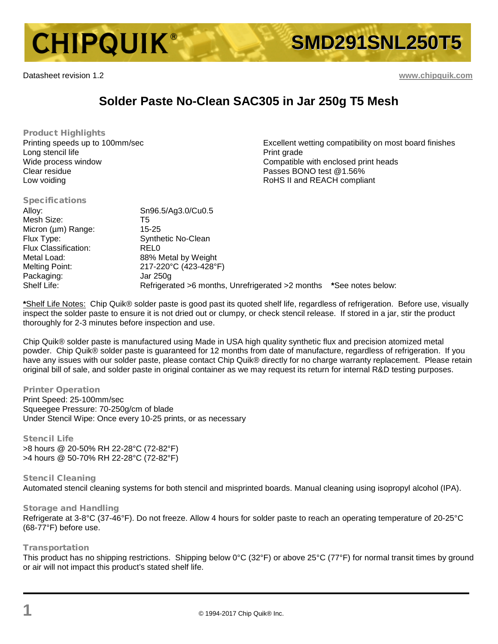

Datasheet revision 1.2 **[www.chipquik.com](http://www.chipquik.com/)**

Specifications

# **Solder Paste No-Clean SAC305 in Jar 250g T5 Mesh**

Product Highlights Printing speeds up to 100mm/sec Long stencil life Wide process window Clear residue Low voiding

Excellent wetting compatibility on most board finishes Print grade Compatible with enclosed print heads Passes BONO test @1.56% RoHS II and REACH compliant

| <b>Specifications</b> |                                                                    |  |
|-----------------------|--------------------------------------------------------------------|--|
| Alloy:                | Sn96.5/Ag3.0/Cu0.5                                                 |  |
| Mesh Size:            | T5                                                                 |  |
| Micron (µm) Range:    | 15-25                                                              |  |
| Flux Type:            | <b>Synthetic No-Clean</b>                                          |  |
| Flux Classification:  | <b>RELO</b>                                                        |  |
| Metal Load:           | 88% Metal by Weight                                                |  |
| Melting Point:        | 217-220°C (423-428°F)                                              |  |
| Packaging:            | Jar 250g                                                           |  |
| Shelf Life:           | Refrigerated >6 months, Unrefrigerated >2 months *See notes below: |  |
|                       |                                                                    |  |

**\***Shelf Life Notes: Chip Quik® solder paste is good past its quoted shelf life, regardless of refrigeration. Before use, visually inspect the solder paste to ensure it is not dried out or clumpy, or check stencil release. If stored in a jar, stir the product thoroughly for 2-3 minutes before inspection and use.

Chip Quik® solder paste is manufactured using Made in USA high quality synthetic flux and precision atomized metal powder. Chip Quik® solder paste is guaranteed for 12 months from date of manufacture, regardless of refrigeration. If you have any issues with our solder paste, please contact Chip Quik® directly for no charge warranty replacement. Please retain original bill of sale, and solder paste in original container as we may request its return for internal R&D testing purposes.

### Printer Operation

Print Speed: 25-100mm/sec Squeegee Pressure: 70-250g/cm of blade Under Stencil Wipe: Once every 10-25 prints, or as necessary

## Stencil Life

>8 hours @ 20-50% RH 22-28°C (72-82°F) >4 hours @ 50-70% RH 22-28°C (72-82°F)

### Stencil Cleaning Automated stencil cleaning systems for both stencil and misprinted boards. Manual cleaning using isopropyl alcohol (IPA).

## Storage and Handling

Refrigerate at 3-8°C (37-46°F). Do not freeze. Allow 4 hours for solder paste to reach an operating temperature of 20-25°C (68-77°F) before use.

## Transportation

This product has no shipping restrictions. Shipping below 0°C (32°F) or above 25°C (77°F) for normal transit times by ground or air will not impact this product's stated shelf life.